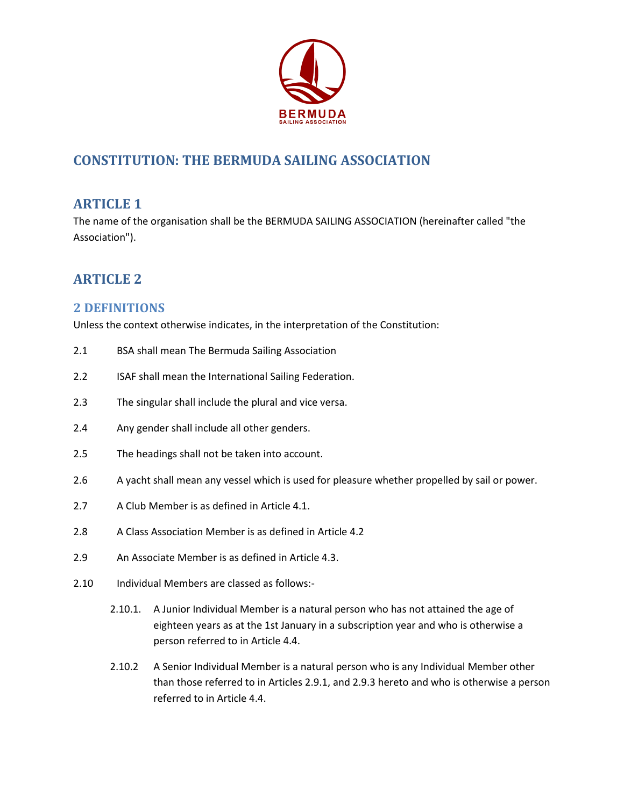

# **CONSTITUTION: THE BERMUDA SAILING ASSOCIATION**

## **ARTICLE 1**

The name of the organisation shall be the BERMUDA SAILING ASSOCIATION (hereinafter called "the Association").

# **ARTICLE 2**

## **2 DEFINITIONS**

Unless the context otherwise indicates, in the interpretation of the Constitution:

- 2.1 BSA shall mean The Bermuda Sailing Association
- 2.2 ISAF shall mean the International Sailing Federation.
- 2.3 The singular shall include the plural and vice versa.
- 2.4 Any gender shall include all other genders.
- 2.5 The headings shall not be taken into account.
- 2.6 A yacht shall mean any vessel which is used for pleasure whether propelled by sail or power.
- 2.7 A Club Member is as defined in Article 4.1.
- 2.8 A Class Association Member is as defined in Article 4.2
- 2.9 An Associate Member is as defined in Article 4.3.
- 2.10 Individual Members are classed as follows:-
	- 2.10.1. A Junior Individual Member is a natural person who has not attained the age of eighteen years as at the 1st January in a subscription year and who is otherwise a person referred to in Article 4.4.
	- 2.10.2 A Senior Individual Member is a natural person who is any Individual Member other than those referred to in Articles 2.9.1, and 2.9.3 hereto and who is otherwise a person referred to in Article 4.4.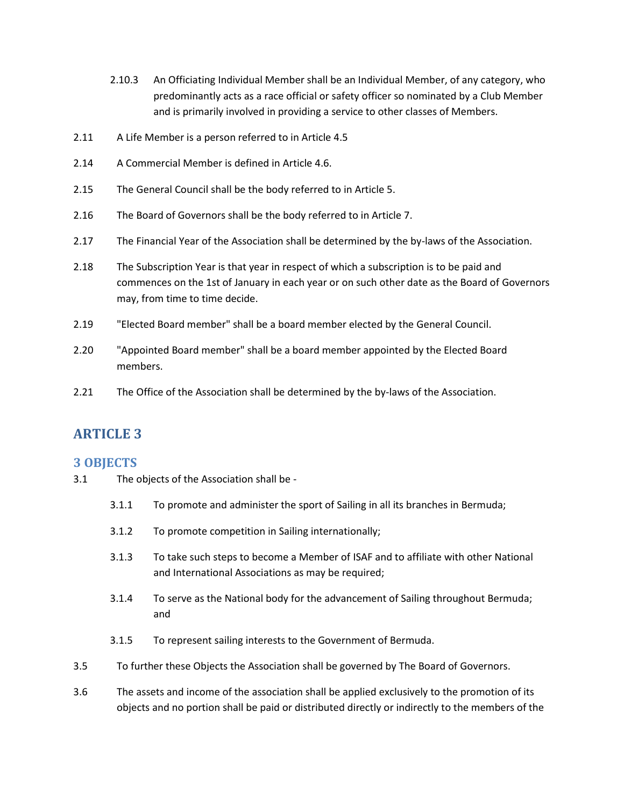- 2.10.3 An Officiating Individual Member shall be an Individual Member, of any category, who predominantly acts as a race official or safety officer so nominated by a Club Member and is primarily involved in providing a service to other classes of Members.
- 2.11 A Life Member is a person referred to in Article 4.5
- 2.14 A Commercial Member is defined in Article 4.6.
- 2.15 The General Council shall be the body referred to in Article 5.
- 2.16 The Board of Governors shall be the body referred to in Article 7.
- 2.17 The Financial Year of the Association shall be determined by the by-laws of the Association.
- 2.18 The Subscription Year is that year in respect of which a subscription is to be paid and commences on the 1st of January in each year or on such other date as the Board of Governors may, from time to time decide.
- 2.19 "Elected Board member" shall be a board member elected by the General Council.
- 2.20 "Appointed Board member" shall be a board member appointed by the Elected Board members.
- 2.21 The Office of the Association shall be determined by the by-laws of the Association.

#### **3 OBJECTS**

- 3.1 The objects of the Association shall be
	- 3.1.1 To promote and administer the sport of Sailing in all its branches in Bermuda;
	- 3.1.2 To promote competition in Sailing internationally;
	- 3.1.3 To take such steps to become a Member of ISAF and to affiliate with other National and International Associations as may be required;
	- 3.1.4 To serve as the National body for the advancement of Sailing throughout Bermuda; and
	- 3.1.5 To represent sailing interests to the Government of Bermuda.
- 3.5 To further these Objects the Association shall be governed by The Board of Governors.
- 3.6 The assets and income of the association shall be applied exclusively to the promotion of its objects and no portion shall be paid or distributed directly or indirectly to the members of the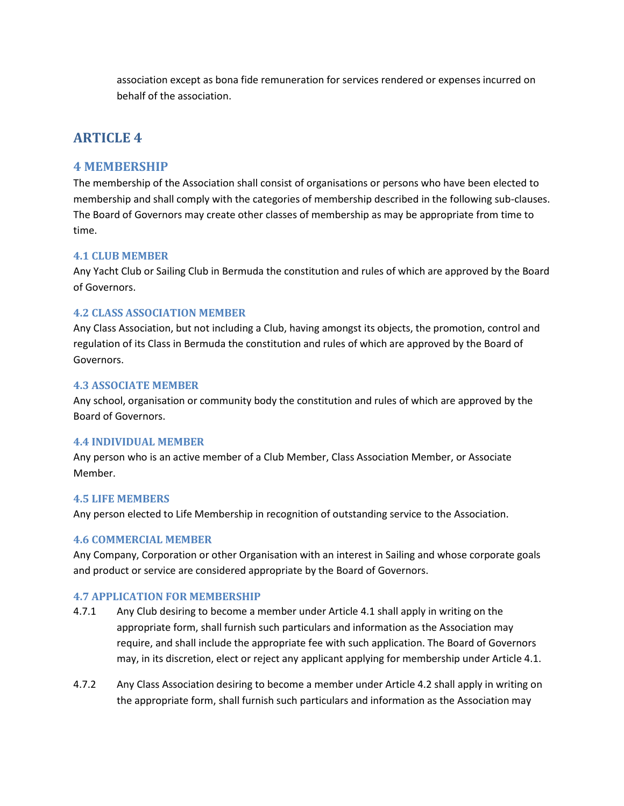association except as bona fide remuneration for services rendered or expenses incurred on behalf of the association.

# **ARTICLE 4**

### **4 MEMBERSHIP**

The membership of the Association shall consist of organisations or persons who have been elected to membership and shall comply with the categories of membership described in the following sub-clauses. The Board of Governors may create other classes of membership as may be appropriate from time to time.

#### **4.1 CLUB MEMBER**

Any Yacht Club or Sailing Club in Bermuda the constitution and rules of which are approved by the Board of Governors.

#### **4.2 CLASS ASSOCIATION MEMBER**

Any Class Association, but not including a Club, having amongst its objects, the promotion, control and regulation of its Class in Bermuda the constitution and rules of which are approved by the Board of Governors.

#### **4.3 ASSOCIATE MEMBER**

Any school, organisation or community body the constitution and rules of which are approved by the Board of Governors.

#### **4.4 INDIVIDUAL MEMBER**

Any person who is an active member of a Club Member, Class Association Member, or Associate Member.

#### **4.5 LIFE MEMBERS**

Any person elected to Life Membership in recognition of outstanding service to the Association.

#### **4.6 COMMERCIAL MEMBER**

Any Company, Corporation or other Organisation with an interest in Sailing and whose corporate goals and product or service are considered appropriate by the Board of Governors.

#### **4.7 APPLICATION FOR MEMBERSHIP**

- 4.7.1 Any Club desiring to become a member under Article 4.1 shall apply in writing on the appropriate form, shall furnish such particulars and information as the Association may require, and shall include the appropriate fee with such application. The Board of Governors may, in its discretion, elect or reject any applicant applying for membership under Article 4.1.
- 4.7.2 Any Class Association desiring to become a member under Article 4.2 shall apply in writing on the appropriate form, shall furnish such particulars and information as the Association may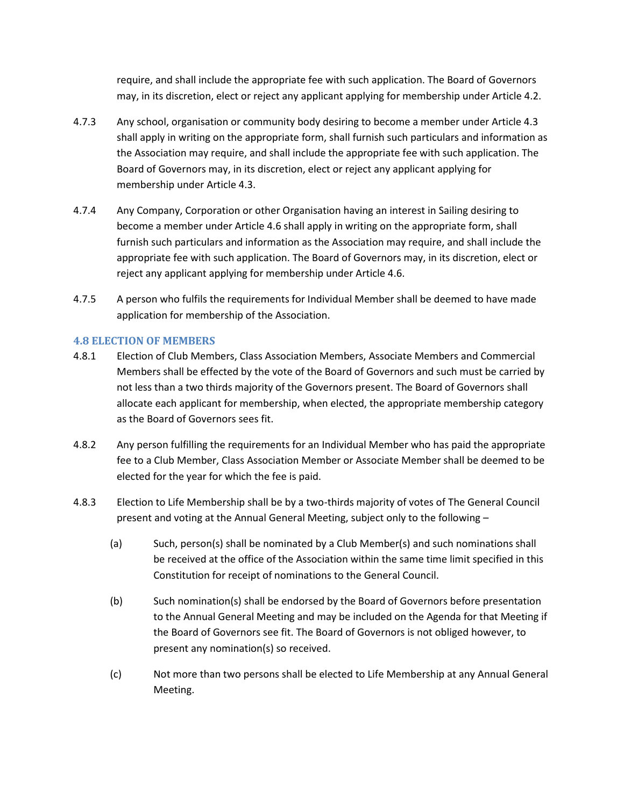require, and shall include the appropriate fee with such application. The Board of Governors may, in its discretion, elect or reject any applicant applying for membership under Article 4.2.

- 4.7.3 Any school, organisation or community body desiring to become a member under Article 4.3 shall apply in writing on the appropriate form, shall furnish such particulars and information as the Association may require, and shall include the appropriate fee with such application. The Board of Governors may, in its discretion, elect or reject any applicant applying for membership under Article 4.3.
- 4.7.4 Any Company, Corporation or other Organisation having an interest in Sailing desiring to become a member under Article 4.6 shall apply in writing on the appropriate form, shall furnish such particulars and information as the Association may require, and shall include the appropriate fee with such application. The Board of Governors may, in its discretion, elect or reject any applicant applying for membership under Article 4.6.
- 4.7.5 A person who fulfils the requirements for Individual Member shall be deemed to have made application for membership of the Association.

#### **4.8 ELECTION OF MEMBERS**

- 4.8.1 Election of Club Members, Class Association Members, Associate Members and Commercial Members shall be effected by the vote of the Board of Governors and such must be carried by not less than a two thirds majority of the Governors present. The Board of Governors shall allocate each applicant for membership, when elected, the appropriate membership category as the Board of Governors sees fit.
- 4.8.2 Any person fulfilling the requirements for an Individual Member who has paid the appropriate fee to a Club Member, Class Association Member or Associate Member shall be deemed to be elected for the year for which the fee is paid.
- 4.8.3 Election to Life Membership shall be by a two-thirds majority of votes of The General Council present and voting at the Annual General Meeting, subject only to the following –
	- (a) Such, person(s) shall be nominated by a Club Member(s) and such nominations shall be received at the office of the Association within the same time limit specified in this Constitution for receipt of nominations to the General Council.
	- (b) Such nomination(s) shall be endorsed by the Board of Governors before presentation to the Annual General Meeting and may be included on the Agenda for that Meeting if the Board of Governors see fit. The Board of Governors is not obliged however, to present any nomination(s) so received.
	- (c) Not more than two persons shall be elected to Life Membership at any Annual General Meeting.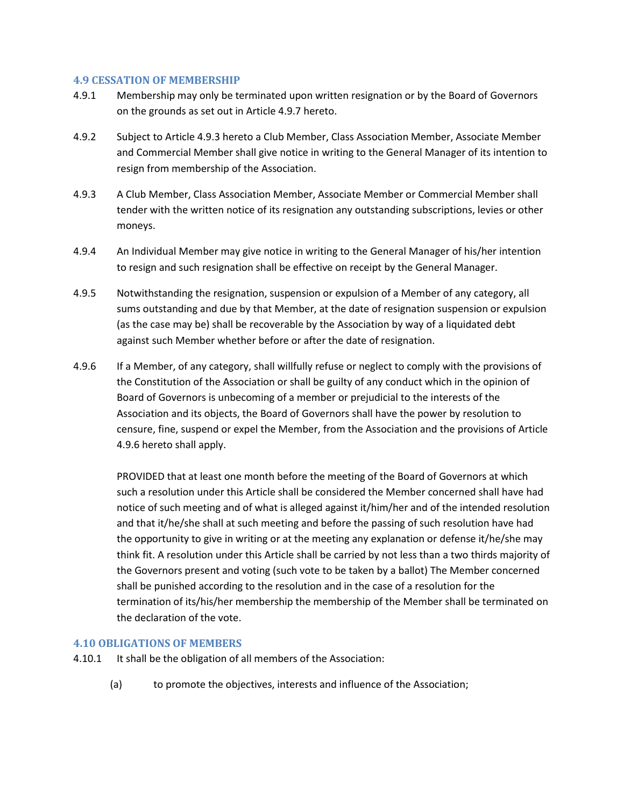#### **4.9 CESSATION OF MEMBERSHIP**

- 4.9.1 Membership may only be terminated upon written resignation or by the Board of Governors on the grounds as set out in Article 4.9.7 hereto.
- 4.9.2 Subject to Article 4.9.3 hereto a Club Member, Class Association Member, Associate Member and Commercial Member shall give notice in writing to the General Manager of its intention to resign from membership of the Association.
- 4.9.3 A Club Member, Class Association Member, Associate Member or Commercial Member shall tender with the written notice of its resignation any outstanding subscriptions, levies or other moneys.
- 4.9.4 An Individual Member may give notice in writing to the General Manager of his/her intention to resign and such resignation shall be effective on receipt by the General Manager.
- 4.9.5 Notwithstanding the resignation, suspension or expulsion of a Member of any category, all sums outstanding and due by that Member, at the date of resignation suspension or expulsion (as the case may be) shall be recoverable by the Association by way of a liquidated debt against such Member whether before or after the date of resignation.
- 4.9.6 If a Member, of any category, shall willfully refuse or neglect to comply with the provisions of the Constitution of the Association or shall be guilty of any conduct which in the opinion of Board of Governors is unbecoming of a member or prejudicial to the interests of the Association and its objects, the Board of Governors shall have the power by resolution to censure, fine, suspend or expel the Member, from the Association and the provisions of Article 4.9.6 hereto shall apply.

PROVIDED that at least one month before the meeting of the Board of Governors at which such a resolution under this Article shall be considered the Member concerned shall have had notice of such meeting and of what is alleged against it/him/her and of the intended resolution and that it/he/she shall at such meeting and before the passing of such resolution have had the opportunity to give in writing or at the meeting any explanation or defense it/he/she may think fit. A resolution under this Article shall be carried by not less than a two thirds majority of the Governors present and voting (such vote to be taken by a ballot) The Member concerned shall be punished according to the resolution and in the case of a resolution for the termination of its/his/her membership the membership of the Member shall be terminated on the declaration of the vote.

#### **4.10 OBLIGATIONS OF MEMBERS**

- 4.10.1 It shall be the obligation of all members of the Association:
	- (a) to promote the objectives, interests and influence of the Association;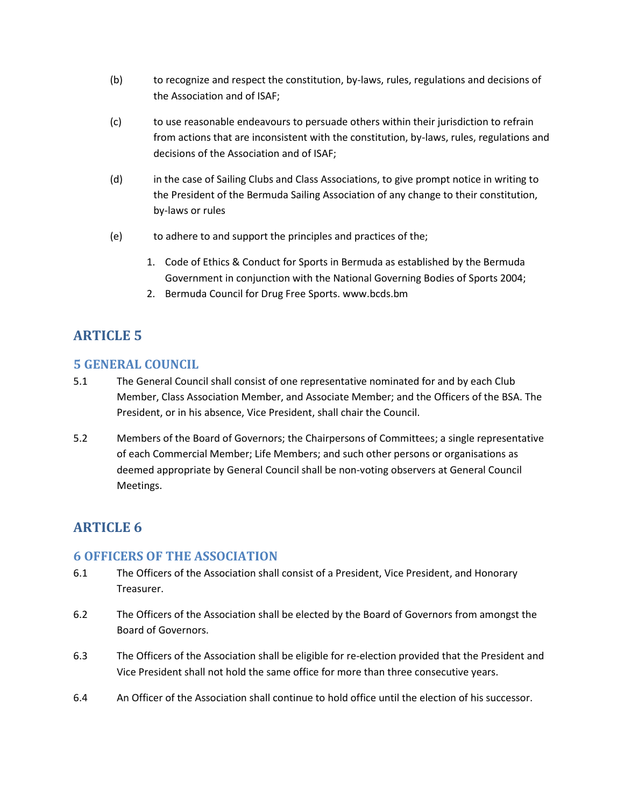- (b) to recognize and respect the constitution, by-laws, rules, regulations and decisions of the Association and of ISAF;
- (c) to use reasonable endeavours to persuade others within their jurisdiction to refrain from actions that are inconsistent with the constitution, by-laws, rules, regulations and decisions of the Association and of ISAF;
- (d) in the case of Sailing Clubs and Class Associations, to give prompt notice in writing to the President of the Bermuda Sailing Association of any change to their constitution, by-laws or rules
- (e) to adhere to and support the principles and practices of the;
	- 1. Code of Ethics & Conduct for Sports in Bermuda as established by the Bermuda Government in conjunction with the National Governing Bodies of Sports 2004;
	- 2. Bermuda Council for Drug Free Sports. www.bcds.bm

### **5 GENERAL COUNCIL**

- 5.1 The General Council shall consist of one representative nominated for and by each Club Member, Class Association Member, and Associate Member; and the Officers of the BSA. The President, or in his absence, Vice President, shall chair the Council.
- 5.2 Members of the Board of Governors; the Chairpersons of Committees; a single representative of each Commercial Member; Life Members; and such other persons or organisations as deemed appropriate by General Council shall be non-voting observers at General Council Meetings.

# **ARTICLE 6**

### **6 OFFICERS OF THE ASSOCIATION**

- 6.1 The Officers of the Association shall consist of a President, Vice President, and Honorary Treasurer.
- 6.2 The Officers of the Association shall be elected by the Board of Governors from amongst the Board of Governors.
- 6.3 The Officers of the Association shall be eligible for re-election provided that the President and Vice President shall not hold the same office for more than three consecutive years.
- 6.4 An Officer of the Association shall continue to hold office until the election of his successor.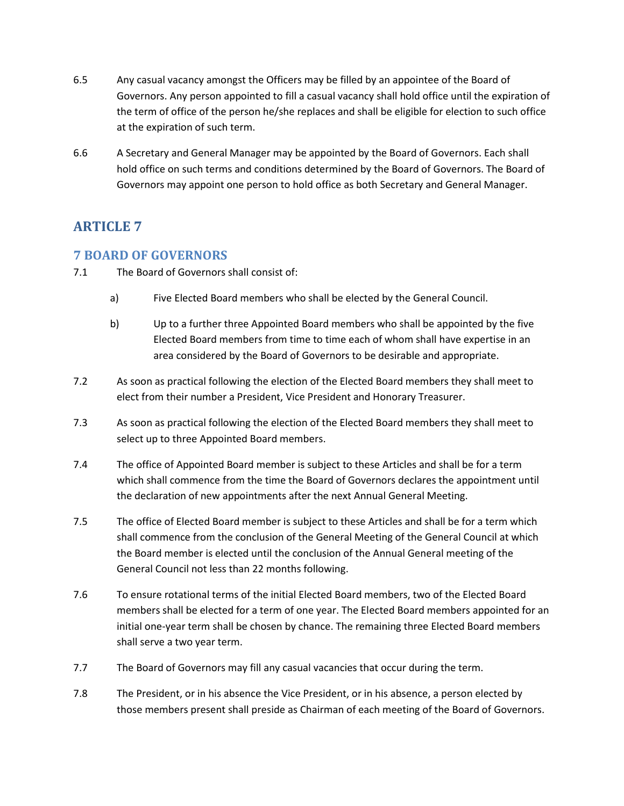- 6.5 Any casual vacancy amongst the Officers may be filled by an appointee of the Board of Governors. Any person appointed to fill a casual vacancy shall hold office until the expiration of the term of office of the person he/she replaces and shall be eligible for election to such office at the expiration of such term.
- 6.6 A Secretary and General Manager may be appointed by the Board of Governors. Each shall hold office on such terms and conditions determined by the Board of Governors. The Board of Governors may appoint one person to hold office as both Secretary and General Manager.

### **7 BOARD OF GOVERNORS**

- 7.1 The Board of Governors shall consist of:
	- a) Five Elected Board members who shall be elected by the General Council.
	- b) Up to a further three Appointed Board members who shall be appointed by the five Elected Board members from time to time each of whom shall have expertise in an area considered by the Board of Governors to be desirable and appropriate.
- 7.2 As soon as practical following the election of the Elected Board members they shall meet to elect from their number a President, Vice President and Honorary Treasurer.
- 7.3 As soon as practical following the election of the Elected Board members they shall meet to select up to three Appointed Board members.
- 7.4 The office of Appointed Board member is subject to these Articles and shall be for a term which shall commence from the time the Board of Governors declares the appointment until the declaration of new appointments after the next Annual General Meeting.
- 7.5 The office of Elected Board member is subject to these Articles and shall be for a term which shall commence from the conclusion of the General Meeting of the General Council at which the Board member is elected until the conclusion of the Annual General meeting of the General Council not less than 22 months following.
- 7.6 To ensure rotational terms of the initial Elected Board members, two of the Elected Board members shall be elected for a term of one year. The Elected Board members appointed for an initial one-year term shall be chosen by chance. The remaining three Elected Board members shall serve a two year term.
- 7.7 The Board of Governors may fill any casual vacancies that occur during the term.
- 7.8 The President, or in his absence the Vice President, or in his absence, a person elected by those members present shall preside as Chairman of each meeting of the Board of Governors.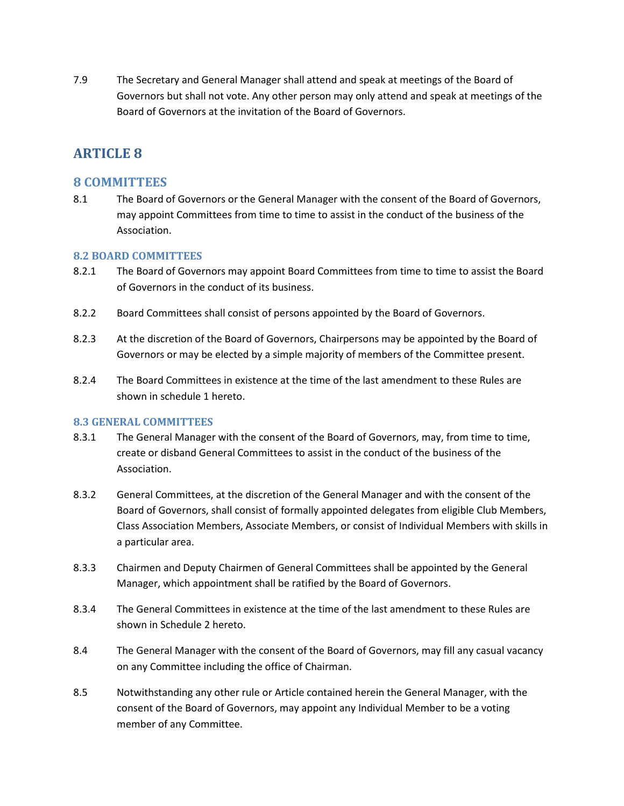7.9 The Secretary and General Manager shall attend and speak at meetings of the Board of Governors but shall not vote. Any other person may only attend and speak at meetings of the Board of Governors at the invitation of the Board of Governors.

# **ARTICLE 8**

### **8 COMMITTEES**

8.1 The Board of Governors or the General Manager with the consent of the Board of Governors, may appoint Committees from time to time to assist in the conduct of the business of the Association.

#### **8.2 BOARD COMMITTEES**

- 8.2.1 The Board of Governors may appoint Board Committees from time to time to assist the Board of Governors in the conduct of its business.
- 8.2.2 Board Committees shall consist of persons appointed by the Board of Governors.
- 8.2.3 At the discretion of the Board of Governors, Chairpersons may be appointed by the Board of Governors or may be elected by a simple majority of members of the Committee present.
- 8.2.4 The Board Committees in existence at the time of the last amendment to these Rules are shown in schedule 1 hereto.

#### **8.3 GENERAL COMMITTEES**

- 8.3.1 The General Manager with the consent of the Board of Governors, may, from time to time, create or disband General Committees to assist in the conduct of the business of the Association.
- 8.3.2 General Committees, at the discretion of the General Manager and with the consent of the Board of Governors, shall consist of formally appointed delegates from eligible Club Members, Class Association Members, Associate Members, or consist of Individual Members with skills in a particular area.
- 8.3.3 Chairmen and Deputy Chairmen of General Committees shall be appointed by the General Manager, which appointment shall be ratified by the Board of Governors.
- 8.3.4 The General Committees in existence at the time of the last amendment to these Rules are shown in Schedule 2 hereto.
- 8.4 The General Manager with the consent of the Board of Governors, may fill any casual vacancy on any Committee including the office of Chairman.
- 8.5 Notwithstanding any other rule or Article contained herein the General Manager, with the consent of the Board of Governors, may appoint any Individual Member to be a voting member of any Committee.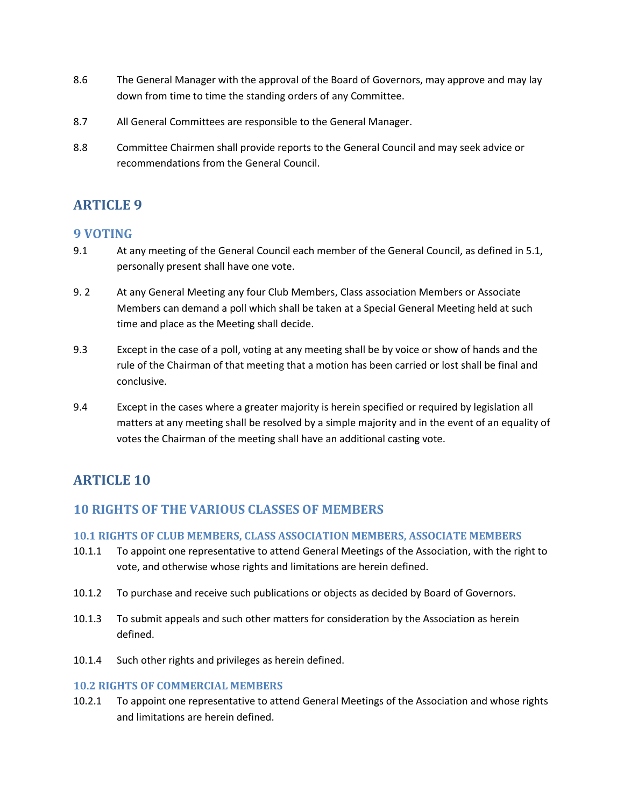- 8.6 The General Manager with the approval of the Board of Governors, may approve and may lay down from time to time the standing orders of any Committee.
- 8.7 All General Committees are responsible to the General Manager.
- 8.8 Committee Chairmen shall provide reports to the General Council and may seek advice or recommendations from the General Council.

## **9 VOTING**

- 9.1 At any meeting of the General Council each member of the General Council, as defined in 5.1, personally present shall have one vote.
- 9. 2 At any General Meeting any four Club Members, Class association Members or Associate Members can demand a poll which shall be taken at a Special General Meeting held at such time and place as the Meeting shall decide.
- 9.3 Except in the case of a poll, voting at any meeting shall be by voice or show of hands and the rule of the Chairman of that meeting that a motion has been carried or lost shall be final and conclusive.
- 9.4 Except in the cases where a greater majority is herein specified or required by legislation all matters at any meeting shall be resolved by a simple majority and in the event of an equality of votes the Chairman of the meeting shall have an additional casting vote.

# **ARTICLE 10**

## **10 RIGHTS OF THE VARIOUS CLASSES OF MEMBERS**

#### **10.1 RIGHTS OF CLUB MEMBERS, CLASS ASSOCIATION MEMBERS, ASSOCIATE MEMBERS**

- 10.1.1 To appoint one representative to attend General Meetings of the Association, with the right to vote, and otherwise whose rights and limitations are herein defined.
- 10.1.2 To purchase and receive such publications or objects as decided by Board of Governors.
- 10.1.3 To submit appeals and such other matters for consideration by the Association as herein defined.
- 10.1.4 Such other rights and privileges as herein defined.

#### **10.2 RIGHTS OF COMMERCIAL MEMBERS**

10.2.1 To appoint one representative to attend General Meetings of the Association and whose rights and limitations are herein defined.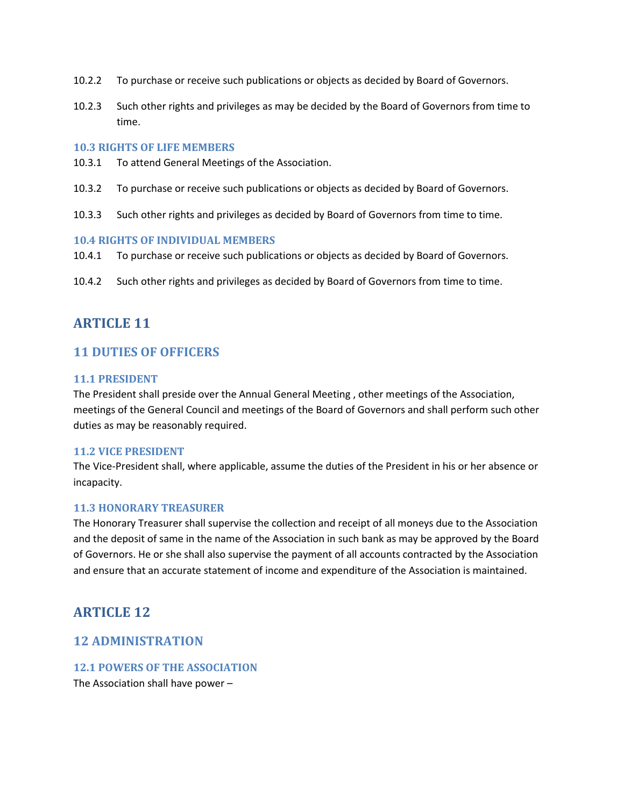- 10.2.2 To purchase or receive such publications or objects as decided by Board of Governors.
- 10.2.3 Such other rights and privileges as may be decided by the Board of Governors from time to time.

#### **10.3 RIGHTS OF LIFE MEMBERS**

- 10.3.1 To attend General Meetings of the Association.
- 10.3.2 To purchase or receive such publications or objects as decided by Board of Governors.
- 10.3.3 Such other rights and privileges as decided by Board of Governors from time to time.

#### **10.4 RIGHTS OF INDIVIDUAL MEMBERS**

- 10.4.1 To purchase or receive such publications or objects as decided by Board of Governors.
- 10.4.2 Such other rights and privileges as decided by Board of Governors from time to time.

## **ARTICLE 11**

### **11 DUTIES OF OFFICERS**

#### **11.1 PRESIDENT**

The President shall preside over the Annual General Meeting , other meetings of the Association, meetings of the General Council and meetings of the Board of Governors and shall perform such other duties as may be reasonably required.

#### **11.2 VICE PRESIDENT**

The Vice-President shall, where applicable, assume the duties of the President in his or her absence or incapacity.

#### **11.3 HONORARY TREASURER**

The Honorary Treasurer shall supervise the collection and receipt of all moneys due to the Association and the deposit of same in the name of the Association in such bank as may be approved by the Board of Governors. He or she shall also supervise the payment of all accounts contracted by the Association and ensure that an accurate statement of income and expenditure of the Association is maintained.

## **ARTICLE 12**

#### **12 ADMINISTRATION**

#### **12.1 POWERS OF THE ASSOCIATION**

The Association shall have power –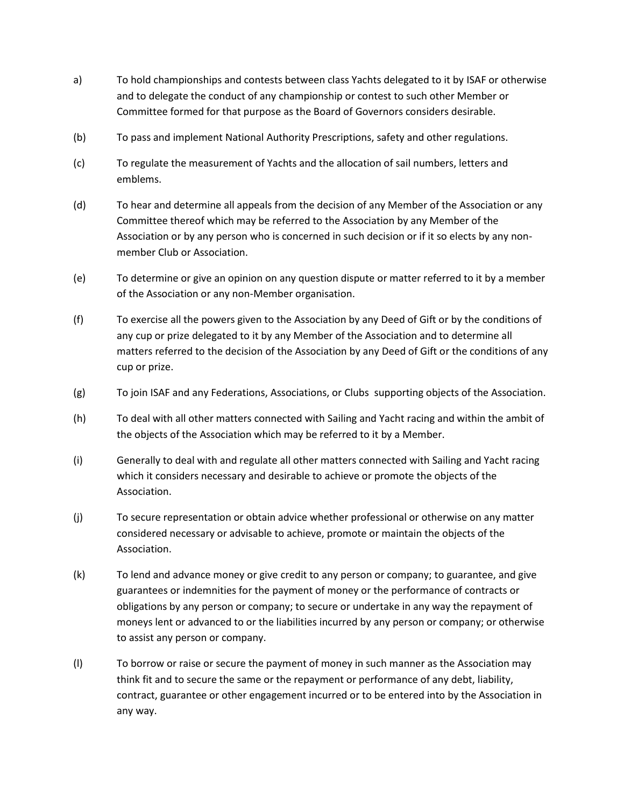- a) To hold championships and contests between class Yachts delegated to it by ISAF or otherwise and to delegate the conduct of any championship or contest to such other Member or Committee formed for that purpose as the Board of Governors considers desirable.
- (b) To pass and implement National Authority Prescriptions, safety and other regulations.
- (c) To regulate the measurement of Yachts and the allocation of sail numbers, letters and emblems.
- (d) To hear and determine all appeals from the decision of any Member of the Association or any Committee thereof which may be referred to the Association by any Member of the Association or by any person who is concerned in such decision or if it so elects by any nonmember Club or Association.
- (e) To determine or give an opinion on any question dispute or matter referred to it by a member of the Association or any non-Member organisation.
- (f) To exercise all the powers given to the Association by any Deed of Gift or by the conditions of any cup or prize delegated to it by any Member of the Association and to determine all matters referred to the decision of the Association by any Deed of Gift or the conditions of any cup or prize.
- (g) To join ISAF and any Federations, Associations, or Clubs supporting objects of the Association.
- (h) To deal with all other matters connected with Sailing and Yacht racing and within the ambit of the objects of the Association which may be referred to it by a Member.
- (i) Generally to deal with and regulate all other matters connected with Sailing and Yacht racing which it considers necessary and desirable to achieve or promote the objects of the Association.
- (j) To secure representation or obtain advice whether professional or otherwise on any matter considered necessary or advisable to achieve, promote or maintain the objects of the Association.
- (k) To lend and advance money or give credit to any person or company; to guarantee, and give guarantees or indemnities for the payment of money or the performance of contracts or obligations by any person or company; to secure or undertake in any way the repayment of moneys lent or advanced to or the liabilities incurred by any person or company; or otherwise to assist any person or company.
- (l) To borrow or raise or secure the payment of money in such manner as the Association may think fit and to secure the same or the repayment or performance of any debt, liability, contract, guarantee or other engagement incurred or to be entered into by the Association in any way.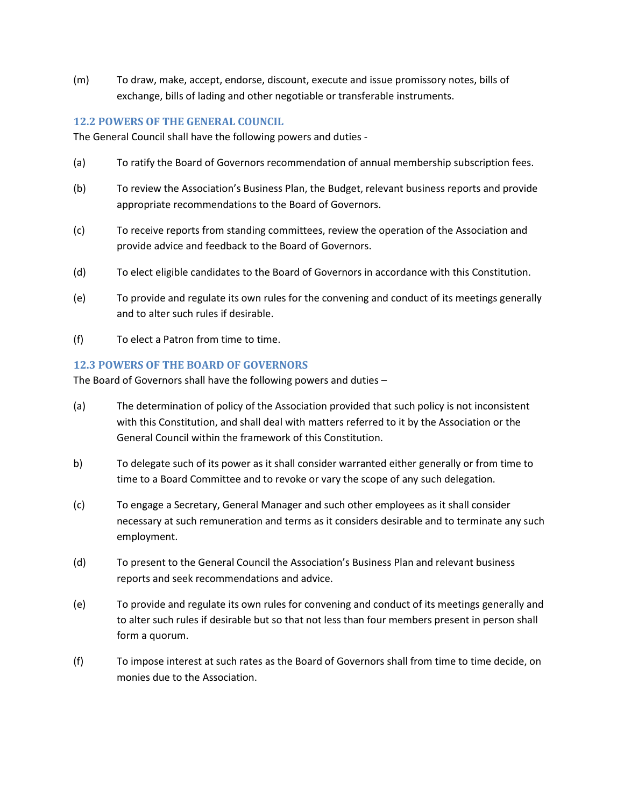(m) To draw, make, accept, endorse, discount, execute and issue promissory notes, bills of exchange, bills of lading and other negotiable or transferable instruments.

#### **12.2 POWERS OF THE GENERAL COUNCIL**

The General Council shall have the following powers and duties -

- (a) To ratify the Board of Governors recommendation of annual membership subscription fees.
- (b) To review the Association's Business Plan, the Budget, relevant business reports and provide appropriate recommendations to the Board of Governors.
- (c) To receive reports from standing committees, review the operation of the Association and provide advice and feedback to the Board of Governors.
- (d) To elect eligible candidates to the Board of Governors in accordance with this Constitution.
- (e) To provide and regulate its own rules for the convening and conduct of its meetings generally and to alter such rules if desirable.
- (f) To elect a Patron from time to time.

#### **12.3 POWERS OF THE BOARD OF GOVERNORS**

The Board of Governors shall have the following powers and duties –

- (a) The determination of policy of the Association provided that such policy is not inconsistent with this Constitution, and shall deal with matters referred to it by the Association or the General Council within the framework of this Constitution.
- b) To delegate such of its power as it shall consider warranted either generally or from time to time to a Board Committee and to revoke or vary the scope of any such delegation.
- (c) To engage a Secretary, General Manager and such other employees as it shall consider necessary at such remuneration and terms as it considers desirable and to terminate any such employment.
- (d) To present to the General Council the Association's Business Plan and relevant business reports and seek recommendations and advice.
- (e) To provide and regulate its own rules for convening and conduct of its meetings generally and to alter such rules if desirable but so that not less than four members present in person shall form a quorum.
- (f) To impose interest at such rates as the Board of Governors shall from time to time decide, on monies due to the Association.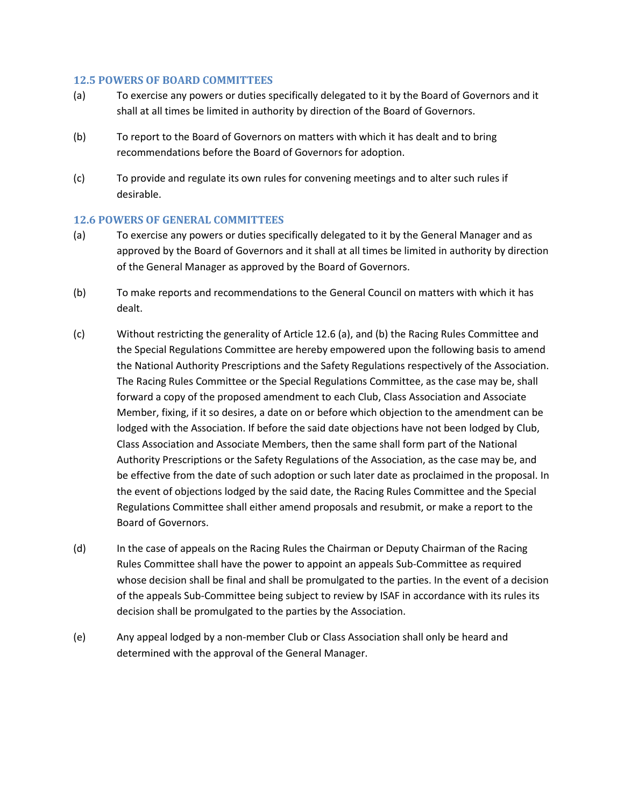#### **12.5 POWERS OF BOARD COMMITTEES**

- (a) To exercise any powers or duties specifically delegated to it by the Board of Governors and it shall at all times be limited in authority by direction of the Board of Governors.
- (b) To report to the Board of Governors on matters with which it has dealt and to bring recommendations before the Board of Governors for adoption.
- (c) To provide and regulate its own rules for convening meetings and to alter such rules if desirable.

#### **12.6 POWERS OF GENERAL COMMITTEES**

- (a) To exercise any powers or duties specifically delegated to it by the General Manager and as approved by the Board of Governors and it shall at all times be limited in authority by direction of the General Manager as approved by the Board of Governors.
- (b) To make reports and recommendations to the General Council on matters with which it has dealt.
- (c) Without restricting the generality of Article 12.6 (a), and (b) the Racing Rules Committee and the Special Regulations Committee are hereby empowered upon the following basis to amend the National Authority Prescriptions and the Safety Regulations respectively of the Association. The Racing Rules Committee or the Special Regulations Committee, as the case may be, shall forward a copy of the proposed amendment to each Club, Class Association and Associate Member, fixing, if it so desires, a date on or before which objection to the amendment can be lodged with the Association. If before the said date objections have not been lodged by Club, Class Association and Associate Members, then the same shall form part of the National Authority Prescriptions or the Safety Regulations of the Association, as the case may be, and be effective from the date of such adoption or such later date as proclaimed in the proposal. In the event of objections lodged by the said date, the Racing Rules Committee and the Special Regulations Committee shall either amend proposals and resubmit, or make a report to the Board of Governors.
- (d) In the case of appeals on the Racing Rules the Chairman or Deputy Chairman of the Racing Rules Committee shall have the power to appoint an appeals Sub-Committee as required whose decision shall be final and shall be promulgated to the parties. In the event of a decision of the appeals Sub-Committee being subject to review by ISAF in accordance with its rules its decision shall be promulgated to the parties by the Association.
- (e) Any appeal lodged by a non-member Club or Class Association shall only be heard and determined with the approval of the General Manager.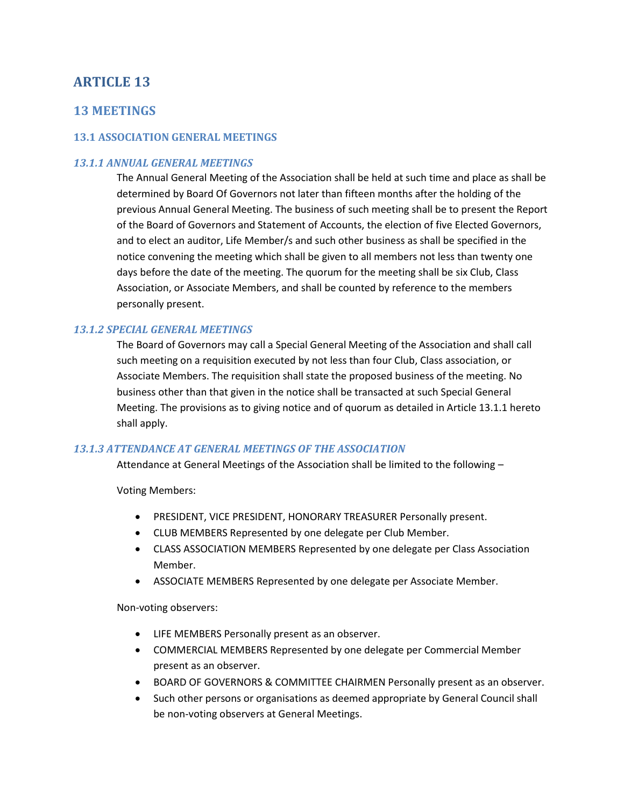### **13 MEETINGS**

#### **13.1 ASSOCIATION GENERAL MEETINGS**

#### *13.1.1 ANNUAL GENERAL MEETINGS*

The Annual General Meeting of the Association shall be held at such time and place as shall be determined by Board Of Governors not later than fifteen months after the holding of the previous Annual General Meeting. The business of such meeting shall be to present the Report of the Board of Governors and Statement of Accounts, the election of five Elected Governors, and to elect an auditor, Life Member/s and such other business as shall be specified in the notice convening the meeting which shall be given to all members not less than twenty one days before the date of the meeting. The quorum for the meeting shall be six Club, Class Association, or Associate Members, and shall be counted by reference to the members personally present.

#### *13.1.2 SPECIAL GENERAL MEETINGS*

The Board of Governors may call a Special General Meeting of the Association and shall call such meeting on a requisition executed by not less than four Club, Class association, or Associate Members. The requisition shall state the proposed business of the meeting. No business other than that given in the notice shall be transacted at such Special General Meeting. The provisions as to giving notice and of quorum as detailed in Article 13.1.1 hereto shall apply.

#### *13.1.3 ATTENDANCE AT GENERAL MEETINGS OF THE ASSOCIATION*

Attendance at General Meetings of the Association shall be limited to the following –

Voting Members:

- PRESIDENT, VICE PRESIDENT, HONORARY TREASURER Personally present.
- CLUB MEMBERS Represented by one delegate per Club Member.
- CLASS ASSOCIATION MEMBERS Represented by one delegate per Class Association Member.
- ASSOCIATE MEMBERS Represented by one delegate per Associate Member.

Non-voting observers:

- LIFE MEMBERS Personally present as an observer.
- COMMERCIAL MEMBERS Represented by one delegate per Commercial Member present as an observer.
- BOARD OF GOVERNORS & COMMITTEE CHAIRMEN Personally present as an observer.
- Such other persons or organisations as deemed appropriate by General Council shall be non-voting observers at General Meetings.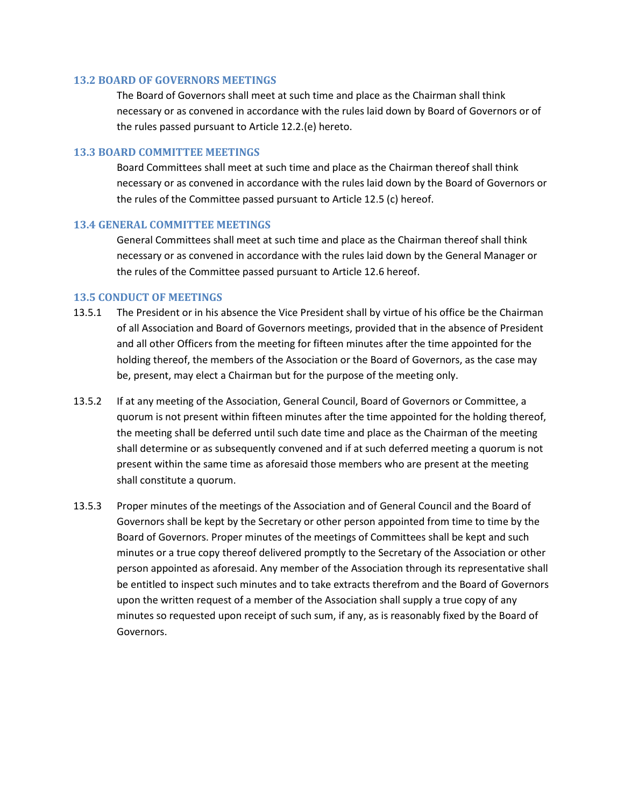#### **13.2 BOARD OF GOVERNORS MEETINGS**

The Board of Governors shall meet at such time and place as the Chairman shall think necessary or as convened in accordance with the rules laid down by Board of Governors or of the rules passed pursuant to Article 12.2.(e) hereto.

#### **13.3 BOARD COMMITTEE MEETINGS**

Board Committees shall meet at such time and place as the Chairman thereof shall think necessary or as convened in accordance with the rules laid down by the Board of Governors or the rules of the Committee passed pursuant to Article 12.5 (c) hereof.

#### **13.4 GENERAL COMMITTEE MEETINGS**

General Committees shall meet at such time and place as the Chairman thereof shall think necessary or as convened in accordance with the rules laid down by the General Manager or the rules of the Committee passed pursuant to Article 12.6 hereof.

#### **13.5 CONDUCT OF MEETINGS**

- 13.5.1 The President or in his absence the Vice President shall by virtue of his office be the Chairman of all Association and Board of Governors meetings, provided that in the absence of President and all other Officers from the meeting for fifteen minutes after the time appointed for the holding thereof, the members of the Association or the Board of Governors, as the case may be, present, may elect a Chairman but for the purpose of the meeting only.
- 13.5.2 If at any meeting of the Association, General Council, Board of Governors or Committee, a quorum is not present within fifteen minutes after the time appointed for the holding thereof, the meeting shall be deferred until such date time and place as the Chairman of the meeting shall determine or as subsequently convened and if at such deferred meeting a quorum is not present within the same time as aforesaid those members who are present at the meeting shall constitute a quorum.
- 13.5.3 Proper minutes of the meetings of the Association and of General Council and the Board of Governors shall be kept by the Secretary or other person appointed from time to time by the Board of Governors. Proper minutes of the meetings of Committees shall be kept and such minutes or a true copy thereof delivered promptly to the Secretary of the Association or other person appointed as aforesaid. Any member of the Association through its representative shall be entitled to inspect such minutes and to take extracts therefrom and the Board of Governors upon the written request of a member of the Association shall supply a true copy of any minutes so requested upon receipt of such sum, if any, as is reasonably fixed by the Board of Governors.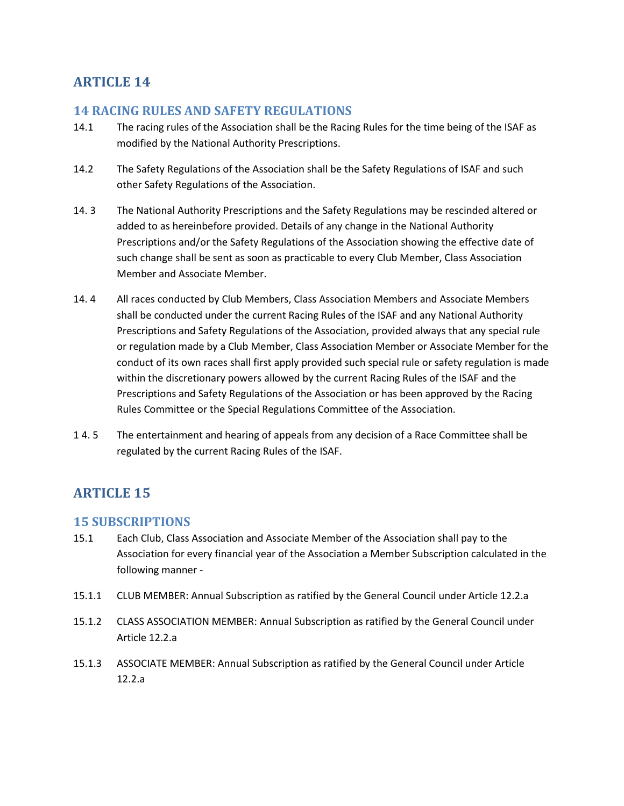## **14 RACING RULES AND SAFETY REGULATIONS**

- 14.1 The racing rules of the Association shall be the Racing Rules for the time being of the ISAF as modified by the National Authority Prescriptions.
- 14.2 The Safety Regulations of the Association shall be the Safety Regulations of ISAF and such other Safety Regulations of the Association.
- 14. 3 The National Authority Prescriptions and the Safety Regulations may be rescinded altered or added to as hereinbefore provided. Details of any change in the National Authority Prescriptions and/or the Safety Regulations of the Association showing the effective date of such change shall be sent as soon as practicable to every Club Member, Class Association Member and Associate Member.
- 14. 4 All races conducted by Club Members, Class Association Members and Associate Members shall be conducted under the current Racing Rules of the ISAF and any National Authority Prescriptions and Safety Regulations of the Association, provided always that any special rule or regulation made by a Club Member, Class Association Member or Associate Member for the conduct of its own races shall first apply provided such special rule or safety regulation is made within the discretionary powers allowed by the current Racing Rules of the ISAF and the Prescriptions and Safety Regulations of the Association or has been approved by the Racing Rules Committee or the Special Regulations Committee of the Association.
- 1 4. 5 The entertainment and hearing of appeals from any decision of a Race Committee shall be regulated by the current Racing Rules of the ISAF.

# **ARTICLE 15**

### **15 SUBSCRIPTIONS**

- 15.1 Each Club, Class Association and Associate Member of the Association shall pay to the Association for every financial year of the Association a Member Subscription calculated in the following manner -
- 15.1.1 CLUB MEMBER: Annual Subscription as ratified by the General Council under Article 12.2.a
- 15.1.2 CLASS ASSOCIATION MEMBER: Annual Subscription as ratified by the General Council under Article 12.2.a
- 15.1.3 ASSOCIATE MEMBER: Annual Subscription as ratified by the General Council under Article 12.2.a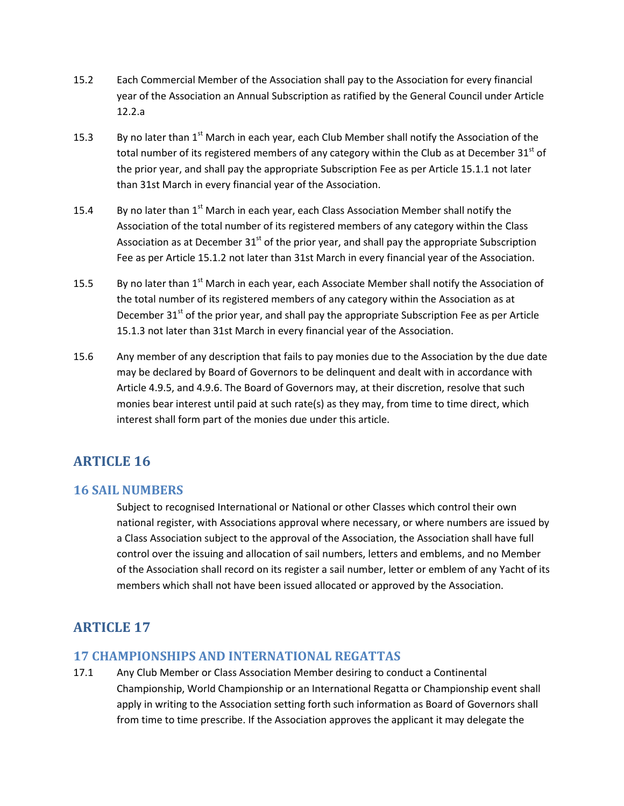- 15.2 Each Commercial Member of the Association shall pay to the Association for every financial year of the Association an Annual Subscription as ratified by the General Council under Article 12.2.a
- 15.3 By no later than  $1<sup>st</sup>$  March in each year, each Club Member shall notify the Association of the total number of its registered members of any category within the Club as at December  $31<sup>st</sup>$  of the prior year, and shall pay the appropriate Subscription Fee as per Article 15.1.1 not later than 31st March in every financial year of the Association.
- 15.4 By no later than  $1<sup>st</sup>$  March in each year, each Class Association Member shall notify the Association of the total number of its registered members of any category within the Class Association as at December  $31<sup>st</sup>$  of the prior year, and shall pay the appropriate Subscription Fee as per Article 15.1.2 not later than 31st March in every financial year of the Association.
- 15.5 By no later than 1<sup>st</sup> March in each year, each Associate Member shall notify the Association of the total number of its registered members of any category within the Association as at December  $31<sup>st</sup>$  of the prior year, and shall pay the appropriate Subscription Fee as per Article 15.1.3 not later than 31st March in every financial year of the Association.
- 15.6 Any member of any description that fails to pay monies due to the Association by the due date may be declared by Board of Governors to be delinquent and dealt with in accordance with Article 4.9.5, and 4.9.6. The Board of Governors may, at their discretion, resolve that such monies bear interest until paid at such rate(s) as they may, from time to time direct, which interest shall form part of the monies due under this article.

### **16 SAIL NUMBERS**

Subject to recognised International or National or other Classes which control their own national register, with Associations approval where necessary, or where numbers are issued by a Class Association subject to the approval of the Association, the Association shall have full control over the issuing and allocation of sail numbers, letters and emblems, and no Member of the Association shall record on its register a sail number, letter or emblem of any Yacht of its members which shall not have been issued allocated or approved by the Association.

# **ARTICLE 17**

## **17 CHAMPIONSHIPS AND INTERNATIONAL REGATTAS**

17.1 Any Club Member or Class Association Member desiring to conduct a Continental Championship, World Championship or an International Regatta or Championship event shall apply in writing to the Association setting forth such information as Board of Governors shall from time to time prescribe. If the Association approves the applicant it may delegate the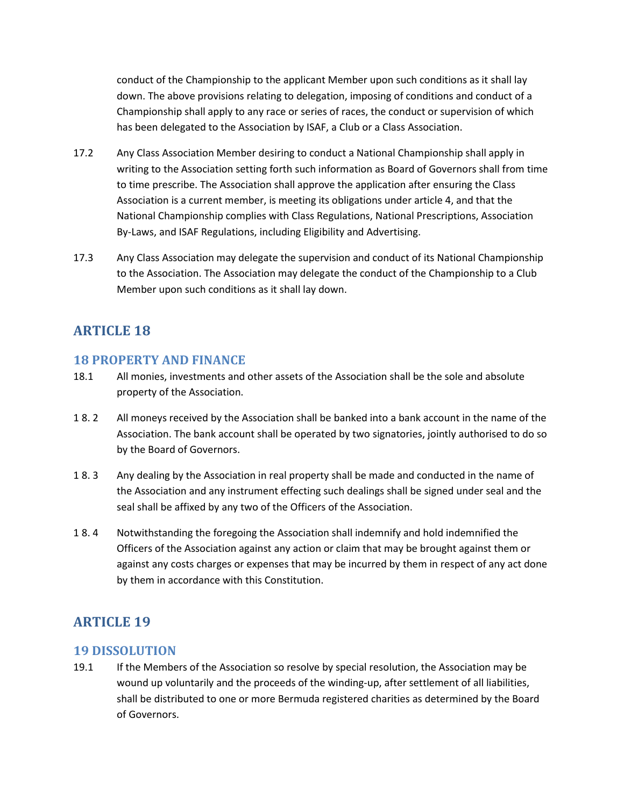conduct of the Championship to the applicant Member upon such conditions as it shall lay down. The above provisions relating to delegation, imposing of conditions and conduct of a Championship shall apply to any race or series of races, the conduct or supervision of which has been delegated to the Association by ISAF, a Club or a Class Association.

- 17.2 Any Class Association Member desiring to conduct a National Championship shall apply in writing to the Association setting forth such information as Board of Governors shall from time to time prescribe. The Association shall approve the application after ensuring the Class Association is a current member, is meeting its obligations under article 4, and that the National Championship complies with Class Regulations, National Prescriptions, Association By-Laws, and ISAF Regulations, including Eligibility and Advertising.
- 17.3 Any Class Association may delegate the supervision and conduct of its National Championship to the Association. The Association may delegate the conduct of the Championship to a Club Member upon such conditions as it shall lay down.

# **ARTICLE 18**

## **18 PROPERTY AND FINANCE**

- 18.1 All monies, investments and other assets of the Association shall be the sole and absolute property of the Association.
- 1 8. 2 All moneys received by the Association shall be banked into a bank account in the name of the Association. The bank account shall be operated by two signatories, jointly authorised to do so by the Board of Governors.
- 1 8. 3 Any dealing by the Association in real property shall be made and conducted in the name of the Association and any instrument effecting such dealings shall be signed under seal and the seal shall be affixed by any two of the Officers of the Association.
- 1 8. 4 Notwithstanding the foregoing the Association shall indemnify and hold indemnified the Officers of the Association against any action or claim that may be brought against them or against any costs charges or expenses that may be incurred by them in respect of any act done by them in accordance with this Constitution.

# **ARTICLE 19**

### **19 DISSOLUTION**

19.1 If the Members of the Association so resolve by special resolution, the Association may be wound up voluntarily and the proceeds of the winding-up, after settlement of all liabilities, shall be distributed to one or more Bermuda registered charities as determined by the Board of Governors.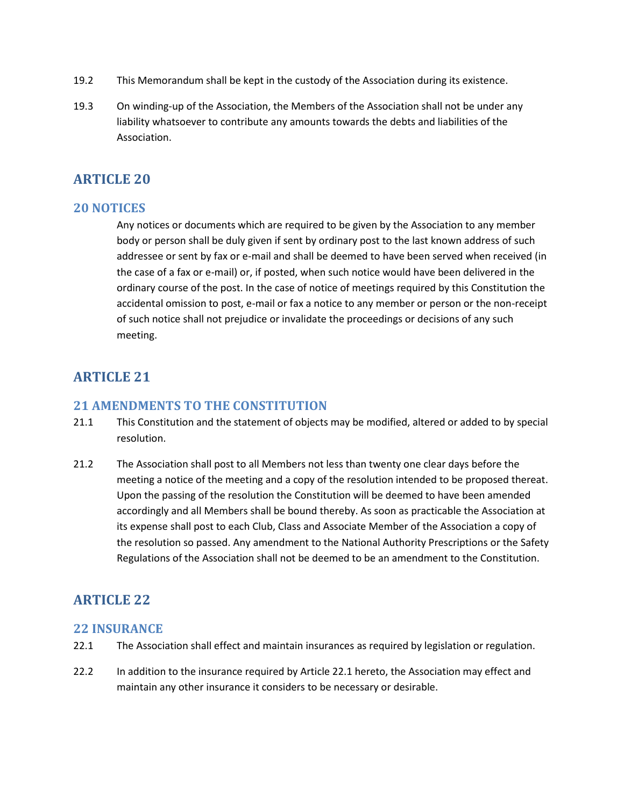- 19.2 This Memorandum shall be kept in the custody of the Association during its existence.
- 19.3 On winding-up of the Association, the Members of the Association shall not be under any liability whatsoever to contribute any amounts towards the debts and liabilities of the Association.

#### **20 NOTICES**

Any notices or documents which are required to be given by the Association to any member body or person shall be duly given if sent by ordinary post to the last known address of such addressee or sent by fax or e-mail and shall be deemed to have been served when received (in the case of a fax or e-mail) or, if posted, when such notice would have been delivered in the ordinary course of the post. In the case of notice of meetings required by this Constitution the accidental omission to post, e-mail or fax a notice to any member or person or the non-receipt of such notice shall not prejudice or invalidate the proceedings or decisions of any such meeting.

## **ARTICLE 21**

#### **21 AMENDMENTS TO THE CONSTITUTION**

- 21.1 This Constitution and the statement of objects may be modified, altered or added to by special resolution.
- 21.2 The Association shall post to all Members not less than twenty one clear days before the meeting a notice of the meeting and a copy of the resolution intended to be proposed thereat. Upon the passing of the resolution the Constitution will be deemed to have been amended accordingly and all Members shall be bound thereby. As soon as practicable the Association at its expense shall post to each Club, Class and Associate Member of the Association a copy of the resolution so passed. Any amendment to the National Authority Prescriptions or the Safety Regulations of the Association shall not be deemed to be an amendment to the Constitution.

## **ARTICLE 22**

#### **22 INSURANCE**

- 22.1 The Association shall effect and maintain insurances as required by legislation or regulation.
- 22.2 In addition to the insurance required by Article 22.1 hereto, the Association may effect and maintain any other insurance it considers to be necessary or desirable.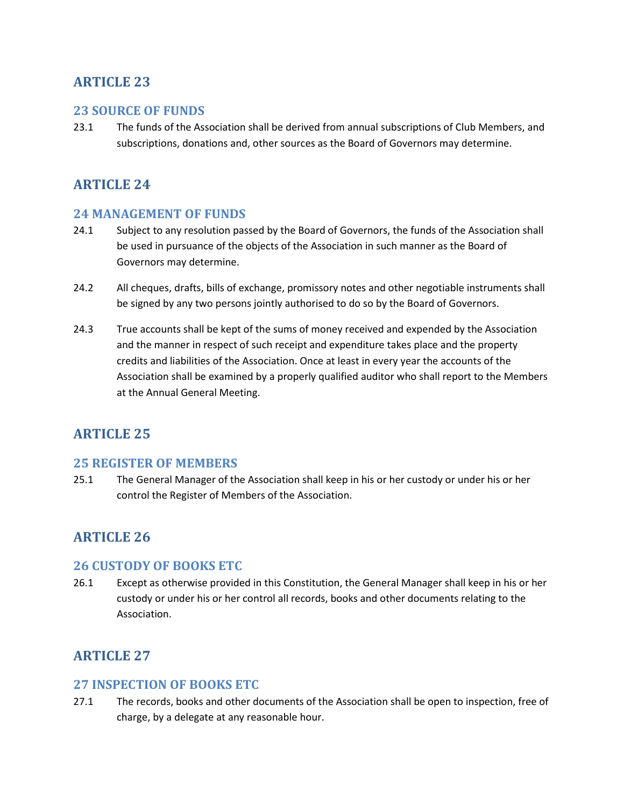### **23 SOURCE OF FUNDS**

23.1 The funds of the Association shall be derived from annual subscriptions of Club Members, and subscriptions, donations and, other sources as the Board of Governors may determine.

## **ARTICLE 24**

### **24 MANAGEMENT OF FUNDS**

- 24.1 Subject to any resolution passed by the Board of Governors, the funds of the Association shall be used in pursuance of the objects of the Association in such manner as the Board of Governors may determine.
- 24.2 All cheques, drafts, bills of exchange, promissory notes and other negotiable instruments shall be signed by any two persons jointly authorised to do so by the Board of Governors.
- 24.3 True accounts shall be kept of the sums of money received and expended by the Association and the manner in respect of such receipt and expenditure takes place and the property credits and liabilities of the Association. Once at least in every year the accounts of the Association shall be examined by a properly qualified auditor who shall report to the Members at the Annual General Meeting.

## **ARTICLE 25**

#### **25 REGISTER OF MEMBERS**

25.1 The General Manager of the Association shall keep in his or her custody or under his or her control the Register of Members of the Association.

## **ARTICLE 26**

#### **26 CUSTODY OF BOOKS ETC**

26.1 Except as otherwise provided in this Constitution, the General Manager shall keep in his or her custody or under his or her control all records, books and other documents relating to the Association.

## **ARTICLE 27**

#### **27 INSPECTION OF BOOKS ETC**

27.1 The records, books and other documents of the Association shall be open to inspection, free of charge, by a delegate at any reasonable hour.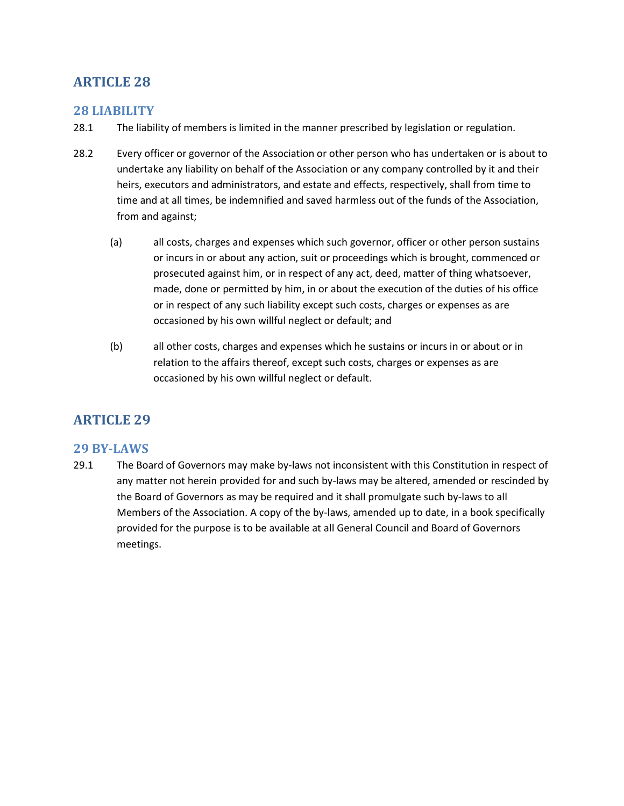### **28 LIABILITY**

- 28.1 The liability of members is limited in the manner prescribed by legislation or regulation.
- 28.2 Every officer or governor of the Association or other person who has undertaken or is about to undertake any liability on behalf of the Association or any company controlled by it and their heirs, executors and administrators, and estate and effects, respectively, shall from time to time and at all times, be indemnified and saved harmless out of the funds of the Association, from and against;
	- (a) all costs, charges and expenses which such governor, officer or other person sustains or incurs in or about any action, suit or proceedings which is brought, commenced or prosecuted against him, or in respect of any act, deed, matter of thing whatsoever, made, done or permitted by him, in or about the execution of the duties of his office or in respect of any such liability except such costs, charges or expenses as are occasioned by his own willful neglect or default; and
	- (b) all other costs, charges and expenses which he sustains or incurs in or about or in relation to the affairs thereof, except such costs, charges or expenses as are occasioned by his own willful neglect or default.

## **ARTICLE 29**

### **29 BY-LAWS**

29.1 The Board of Governors may make by-laws not inconsistent with this Constitution in respect of any matter not herein provided for and such by-laws may be altered, amended or rescinded by the Board of Governors as may be required and it shall promulgate such by-laws to all Members of the Association. A copy of the by-laws, amended up to date, in a book specifically provided for the purpose is to be available at all General Council and Board of Governors meetings.